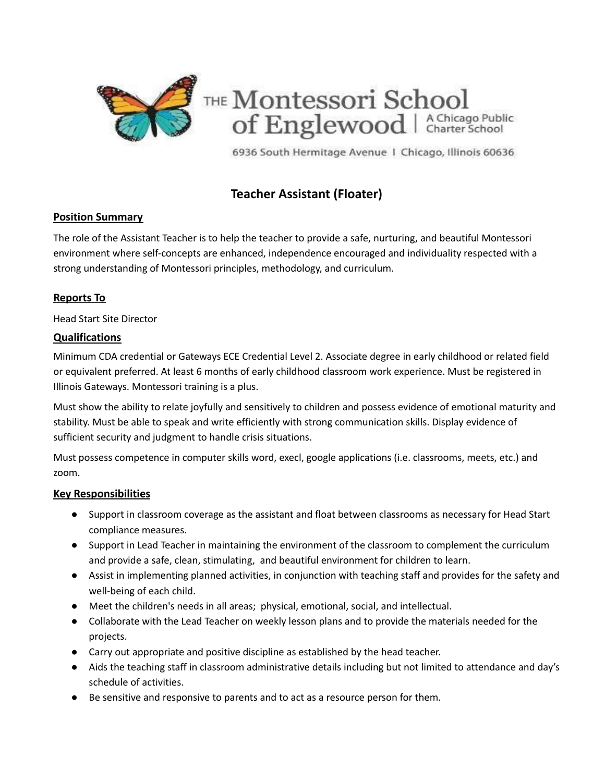

6936 South Hermitage Avenue | Chicago, Illinois 60636

# **Teacher Assistant (Floater)**

## **Position Summary**

The role of the Assistant Teacher is to help the teacher to provide a safe, nurturing, and beautiful Montessori environment where self-concepts are enhanced, independence encouraged and individuality respected with a strong understanding of Montessori principles, methodology, and curriculum.

## **Reports To**

Head Start Site Director

### **Qualifications**

Minimum CDA credential or Gateways ECE Credential Level 2. Associate degree in early childhood or related field or equivalent preferred. At least 6 months of early childhood classroom work experience. Must be registered in Illinois Gateways. Montessori training is a plus.

Must show the ability to relate joyfully and sensitively to children and possess evidence of emotional maturity and stability. Must be able to speak and write efficiently with strong communication skills. Display evidence of sufficient security and judgment to handle crisis situations.

Must possess competence in computer skills word, execl, google applications (i.e. classrooms, meets, etc.) and zoom.

### **Key Responsibilities**

- Support in classroom coverage as the assistant and float between classrooms as necessary for Head Start compliance measures.
- Support in Lead Teacher in maintaining the environment of the classroom to complement the curriculum and provide a safe, clean, stimulating, and beautiful environment for children to learn.
- Assist in implementing planned activities, in conjunction with teaching staff and provides for the safety and well-being of each child.
- Meet the children's needs in all areas; physical, emotional, social, and intellectual.
- Collaborate with the Lead Teacher on weekly lesson plans and to provide the materials needed for the projects.
- Carry out appropriate and positive discipline as established by the head teacher.
- Aids the teaching staff in classroom administrative details including but not limited to attendance and day's schedule of activities.
- Be sensitive and responsive to parents and to act as a resource person for them.